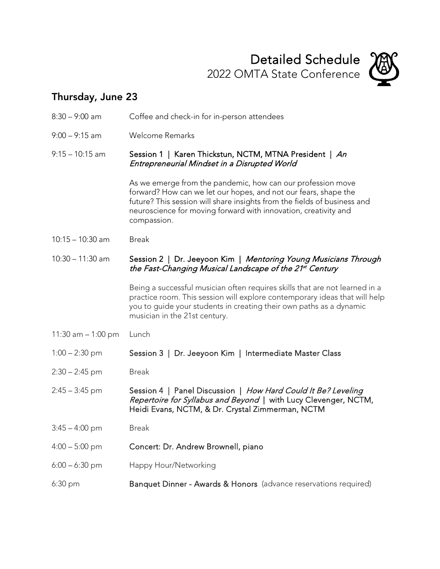

## Thursday, June 23

| $8:30 - 9:00$ am     | Coffee and check-in for in-person attendees                                                                                                                                                                                                                                                  |
|----------------------|----------------------------------------------------------------------------------------------------------------------------------------------------------------------------------------------------------------------------------------------------------------------------------------------|
| $9:00 - 9:15$ am     | <b>Welcome Remarks</b>                                                                                                                                                                                                                                                                       |
| $9:15 - 10:15$ am    | Session 1   Karen Thickstun, NCTM, MTNA President   An<br>Entrepreneurial Mindset in a Disrupted World                                                                                                                                                                                       |
|                      | As we emerge from the pandemic, how can our profession move<br>forward? How can we let our hopes, and not our fears, shape the<br>future? This session will share insights from the fields of business and<br>neuroscience for moving forward with innovation, creativity and<br>compassion. |
| $10:15 - 10:30$ am   | <b>Break</b>                                                                                                                                                                                                                                                                                 |
| $10:30 - 11:30$ am   | Session 2   Dr. Jeeyoon Kim   Mentoring Young Musicians Through<br>the Fast-Changing Musical Landscape of the 21 <sup>st</sup> Century                                                                                                                                                       |
|                      | Being a successful musician often requires skills that are not learned in a<br>practice room. This session will explore contemporary ideas that will help<br>you to guide your students in creating their own paths as a dynamic<br>musician in the 21st century.                            |
| 11:30 am $-$ 1:00 pm | Lunch                                                                                                                                                                                                                                                                                        |
| $1:00 - 2:30$ pm     | Session 3   Dr. Jeeyoon Kim   Intermediate Master Class                                                                                                                                                                                                                                      |
| $2:30 - 2:45$ pm     | <b>Break</b>                                                                                                                                                                                                                                                                                 |
| $2:45 - 3:45$ pm     | Session 4   Panel Discussion   How Hard Could It Be? Leveling<br>Repertoire for Syllabus and Beyond   with Lucy Clevenger, NCTM,<br>Heidi Evans, NCTM, & Dr. Crystal Zimmerman, NCTM                                                                                                         |
| $3:45 - 4:00$ pm     | Break                                                                                                                                                                                                                                                                                        |
| $4:00 - 5:00$ pm     | Concert: Dr. Andrew Brownell, piano                                                                                                                                                                                                                                                          |
| $6:00 - 6:30$ pm     | Happy Hour/Networking                                                                                                                                                                                                                                                                        |
| 6:30 pm              | Banquet Dinner - Awards & Honors (advance reservations required)                                                                                                                                                                                                                             |